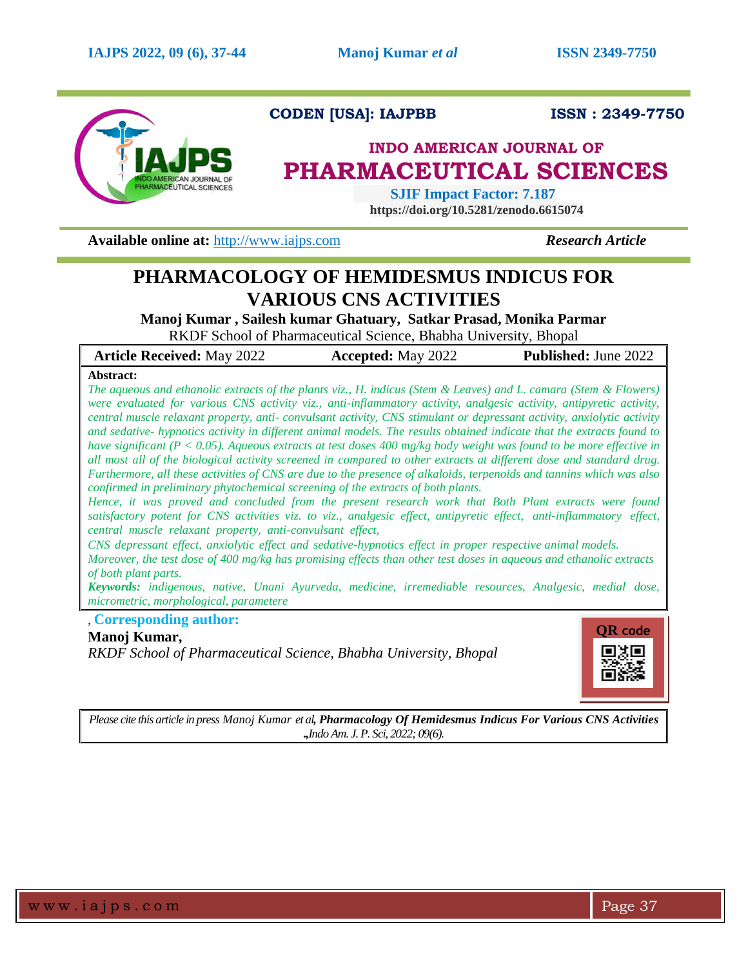

# **CODEN [USA]: IAJPBB ISSN : 2349-7750**

# **INDO AMERICAN JOURNAL OF PHARMACEUTICAL SCIENCES**

 **SJIF Impact Factor: 7.187 https://doi.org/10.5281/zenodo.6615074**

**Available online at:** [http://www.iajps.com](http://www.iajps.com/) **Research Article** 

# **PHARMACOLOGY OF HEMIDESMUS INDICUS FOR VARIOUS CNS ACTIVITIES**

**Manoj Kumar , Sailesh kumar Ghatuary, Satkar Prasad, Monika Parmar** RKDF School of Pharmaceutical Science, Bhabha University, Bhopal

| <b>Article Received:</b> May 2022 | <b>Accepted:</b> May 2022 | <b>Published:</b> June 2022 |
|-----------------------------------|---------------------------|-----------------------------|
|-----------------------------------|---------------------------|-----------------------------|

# **Abstract:**

The aqueous and ethanolic extracts of the plants viz., H. indicus (Stem & Leaves) and L. camara (Stem & Flowers) *were evaluated for various CNS activity viz., anti-inflammatory activity, analgesic activity, antipyretic activity, central muscle relaxant property, anti- convulsant activity, CNS stimulant or depressant activity, anxiolytic activity and sedative- hypnotics activity in different animal models. The results obtained indicate that the extracts found to* have significant ( $P < 0.05$ ). Aqueous extracts at test doses 400 mg/kg body weight was found to be more effective in *all most all of the biological activity screened in compared to other extracts at different dose and standard drug. Furthermore, all these activities of CNS are due to the presence of alkaloids, terpenoids and tannins which was also confirmed in preliminary phytochemical screening of the extracts of both plants.*

*Hence, it was proved and concluded from the present research work that Both Plant extracts were found satisfactory potent for CNS activities viz. to viz., analgesic effect, antipyretic effect, anti-inflammatory effect, central muscle relaxant property, anti-convulsant effect,*

*CNS depressant effect, anxiolytic effect and sedative-hypnotics effect in proper respective animal models.*

Moreover, the test dose of 400 mg/kg has promising effects than other test doses in aqueous and ethanolic extracts *of both plant parts.*

*Keywords: indigenous, native, Unani Ayurveda, medicine, irremediable resources, Analgesic, medial dose, micrometric, morphological, parametere*

, **Corresponding author:** 

# **Manoj Kumar,**

*RKDF School of Pharmaceutical Science, Bhabha University, Bhopal*



*Please cite this article in press Manoj Kumar et al, Pharmacology Of Hemidesmus Indicus For Various CNS Activities .,Indo Am. J. P. Sci, 2022; 09(6).*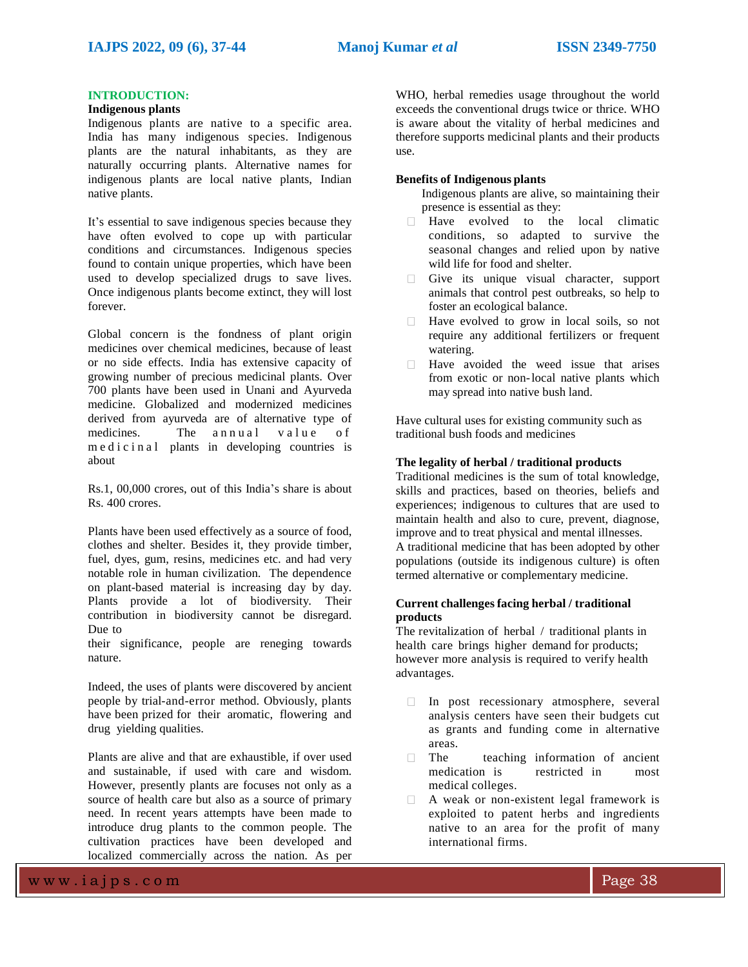# **INTRODUCTION:**

#### **Indigenous plants**

Indigenous plants are native to a specific area. India has many indigenous species. Indigenous plants are the natural inhabitants, as they are naturally occurring plants. Alternative names for indigenous plants are local native plants, Indian native plants.

It's essential to save indigenous species because they have often evolved to cope up with particular conditions and circumstances. Indigenous species found to contain unique properties, which have been used to develop specialized drugs to save lives. Once indigenous plants become extinct, they will lost forever.

Global concern is the fondness of plant origin medicines over chemical medicines, because of least or no side effects. India has extensive capacity of growing number of precious medicinal plants. Over 700 plants have been used in Unani and Ayurveda medicine. Globalized and modernized medicines derived from ayurveda are of alternative type of medicines. The annual value of m e d i c i n a l plants in developing countries is about

Rs.1, 00,000 crores, out of this India's share is about Rs. 400 crores.

Plants have been used effectively as a source of food, clothes and shelter. Besides it, they provide timber, fuel, dyes, gum, resins, medicines etc. and had very notable role in human civilization. The dependence on plant-based material is increasing day by day. Plants provide a lot of biodiversity. Their contribution in biodiversity cannot be disregard. Due to

their significance, people are reneging towards nature.

Indeed, the uses of plants were discovered by ancient people by trial-and-error method. Obviously, plants have been prized for their aromatic, flowering and drug yielding qualities.

Plants are alive and that are exhaustible, if over used and sustainable, if used with care and wisdom. However, presently plants are focuses not only as a source of health care but also as a source of primary need. In recent years attempts have been made to introduce drug plants to the common people. The cultivation practices have been developed and localized commercially across the nation. As per

WHO, herbal remedies usage throughout the world exceeds the conventional drugs twice or thrice. WHO is aware about the vitality of herbal medicines and therefore supports medicinal plants and their products use.

# **Benefits of Indigenous plants**

Indigenous plants are alive, so maintaining their presence is essential as they:

- Have evolved to the local climatic conditions, so adapted to survive the seasonal changes and relied upon by native wild life for food and shelter.
- $\Box$  Give its unique visual character, support animals that control pest outbreaks, so help to foster an ecological balance.
- Have evolved to grow in local soils, so not require any additional fertilizers or frequent watering.
- Have avoided the weed issue that arises  $\Box$ from exotic or non-local native plants which may spread into native bush land.

Have cultural uses for existing community such as traditional bush foods and medicines

## **The legality of herbal / traditional products**

Traditional medicines is the sum of total knowledge, skills and practices, based on theories, beliefs and experiences; indigenous to cultures that are used to maintain health and also to cure, prevent, diagnose, improve and to treat physical and mental illnesses. A traditional medicine that has been adopted by other populations (outside its indigenous culture) is often termed alternative or complementary medicine.

# **Current challengesfacing herbal / traditional products**

The revitalization of herbal / traditional plants in health care brings higher demand for products; however more analysis is required to verify health advantages.

- In post recessionary atmosphere, several analysis centers have seen their budgets cut as grants and funding come in alternative areas.
- $\Box$  The teaching information of ancient medication is restricted in most medical colleges.
- A weak or non-existent legal framework is  $\Box$ exploited to patent herbs and ingredients native to an area for the profit of many international firms.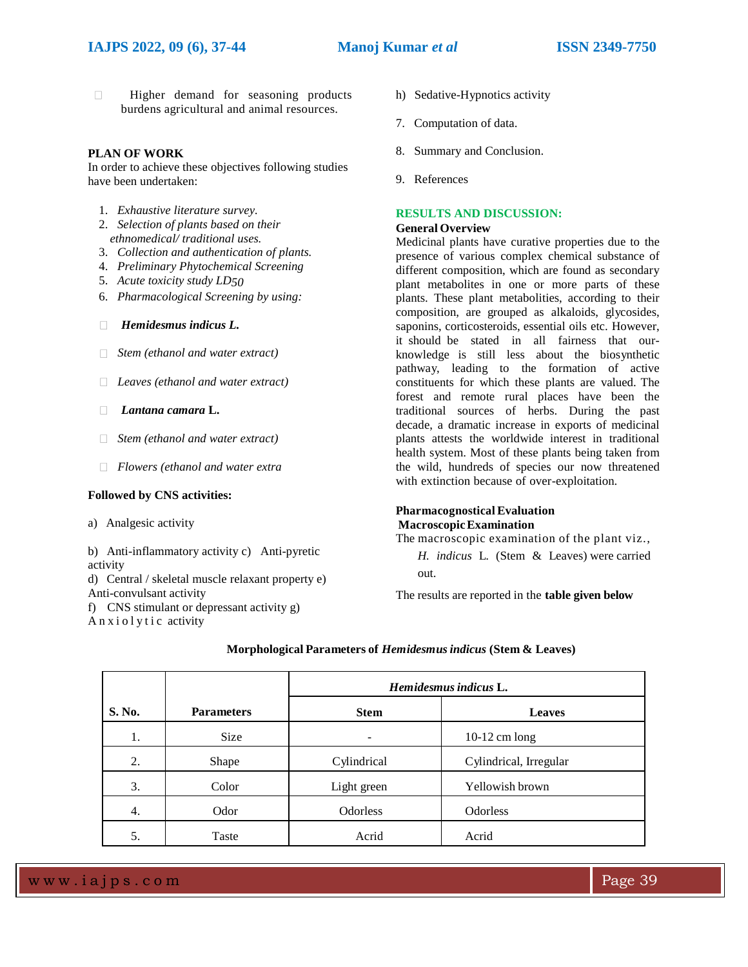# **IAJPS 2022, 09 (6), 37-44 Manoj Kumar** *et al* **ISSN 2349-7750**

**Higher demand for seasoning products** burdens agricultural and animal resources.

## **PLAN OF WORK**

In order to achieve these objectives following studies have been undertaken:

- 1. *Exhaustive literature survey.*
- 2. *Selection of plants based on their ethnomedical/ traditional uses.*
- 3. *Collection and authentication of plants.*
- 4. *Preliminary Phytochemical Screening*
- 5. *Acute toxicity study LD50*
- 6. *Pharmacological Screening by using:*
- *Hemidesmus indicus L.*
- *Stem (ethanol and water extract)*
- *Leaves (ethanol and water extract)*
- *Lantana camara* **L.**
- *Stem (ethanol and water extract)*
- *Flowers (ethanol and water extra*

#### **Followed by CNS activities:**

a) Analgesic activity

b) Anti-inflammatory activity c) Anti-pyretic activity

d) Central / skeletal muscle relaxant property e) Anti-convulsant activity

f) CNS stimulant or depressant activity g) A n x i o l y t i c activity

- h) Sedative-Hypnotics activity
- 7. Computation of data.
- 8. Summary and Conclusion.
- 9. References

# **RESULTS AND DISCUSSION:**

# **General Overview**

Medicinal plants have curative properties due to the presence of various complex chemical substance of different composition, which are found as secondary plant metabolites in one or more parts of these plants. These plant metabolities, according to their composition, are grouped as alkaloids, glycosides, saponins, corticosteroids, essential oils etc. However, it should be stated in all fairness that ourknowledge is still less about the biosynthetic pathway, leading to the formation of active constituents for which these plants are valued. The forest and remote rural places have been the traditional sources of herbs. During the past decade, a dramatic increase in exports of medicinal plants attests the worldwide interest in traditional health system. Most of these plants being taken from the wild, hundreds of species our now threatened with extinction because of over-exploitation.

## **PharmacognosticalEvaluation MacroscopicExamination**

The macroscopic examination of the plant viz.,

*H. indicus* L. (Stem & Leaves) were carried out.

The results are reported in the **table given below**

|        |                   | Hemidesmus indicus L. |                        |  |
|--------|-------------------|-----------------------|------------------------|--|
| S. No. | <b>Parameters</b> | <b>Stem</b>           | <b>Leaves</b>          |  |
| 1.     | <b>Size</b>       |                       | $10-12$ cm long        |  |
| 2.     | Shape             | Cylindrical           | Cylindrical, Irregular |  |
| 3.     | Color             | Light green           | Yellowish brown        |  |
| 4.     | Odor              | <b>Odorless</b>       | Odorless               |  |
| 5.     | Taste             | Acrid                 | Acrid                  |  |

# **Morphological Parameters of** *Hemidesmusindicus* **(Stem & Leaves)**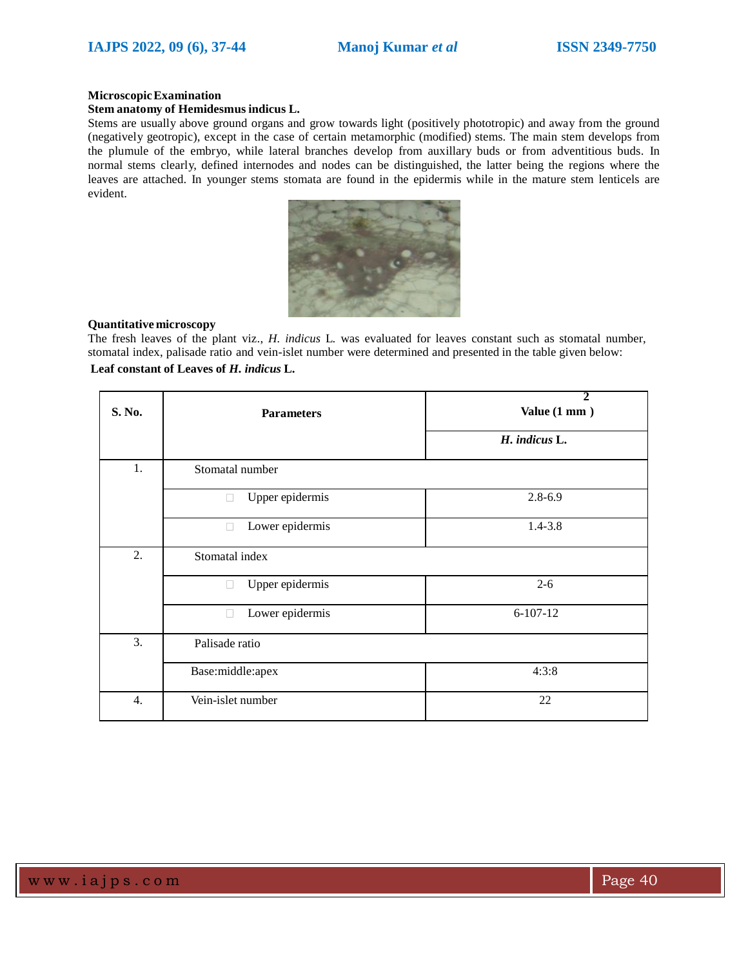#### **MicroscopicExamination**

#### **Stem anatomy of Hemidesmus indicus L.**

Stems are usually above ground organs and grow towards light (positively phototropic) and away from the ground (negatively geotropic), except in the case of certain metamorphic (modified) stems. The main stem develops from the plumule of the embryo, while lateral branches develop from auxillary buds or from adventitious buds. In normal stems clearly, defined internodes and nodes can be distinguished, the latter being the regions where the leaves are attached. In younger stems stomata are found in the epidermis while in the mature stem lenticels are evident.



#### **Quantitative microscopy**

The fresh leaves of the plant viz., *H. indicus* L. was evaluated for leaves constant such as stomatal number, stomatal index, palisade ratio and vein-islet number were determined and presented in the table given below: **Leaf constant of Leaves of** *H. indicus* **L.**

| S. No. | <b>Parameters</b>                 | 7<br>Value (1 mm) |
|--------|-----------------------------------|-------------------|
|        |                                   | H. indicus L.     |
| 1.     | Stomatal number                   |                   |
|        | Upper epidermis<br>L              | $2.8 - 6.9$       |
|        | Lower epidermis<br>L              | $1.4 - 3.8$       |
| 2.     | Stomatal index                    |                   |
|        | Upper epidermis<br>$\mathbb{R}^n$ | $2 - 6$           |
|        | Lower epidermis                   | $6-107-12$        |
| 3.     | Palisade ratio                    |                   |
|        | Base:middle:apex                  | 4:3:8             |
| 4.     | Vein-islet number                 | 22                |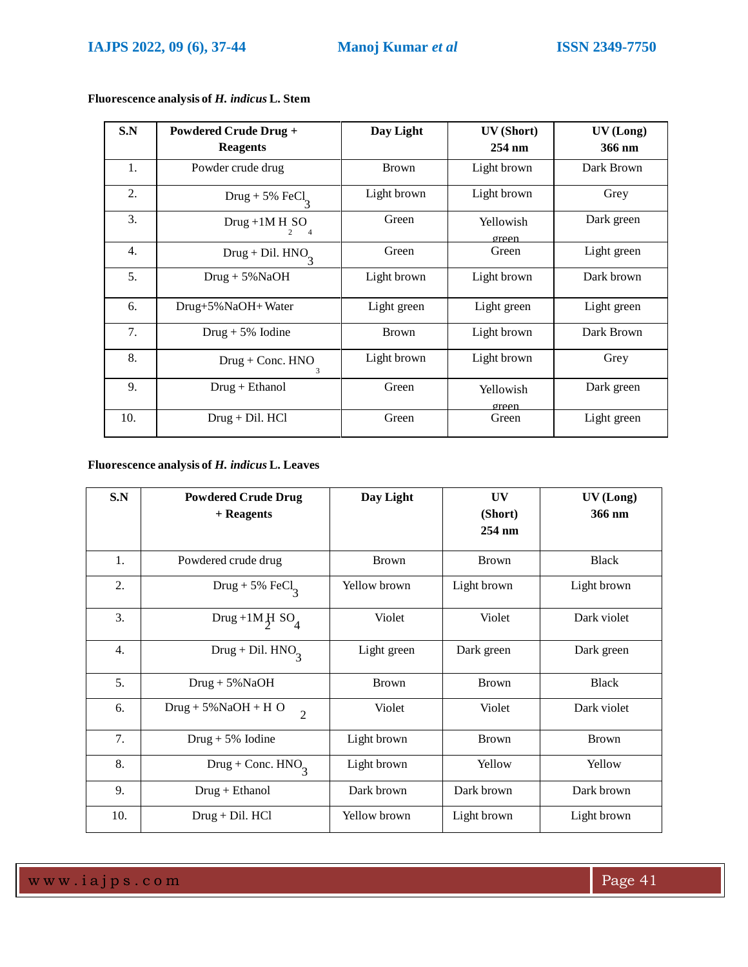| S.N              | <b>Powdered Crude Drug +</b>       | Day Light    | UV (Short)         | UV (Long)   |
|------------------|------------------------------------|--------------|--------------------|-------------|
|                  | <b>Reagents</b>                    |              | $254 \text{ nm}$   | 366 nm      |
| 1.               | Powder crude drug                  | <b>Brown</b> | Light brown        | Dark Brown  |
| 2.               | Drug + 5% FeCl <sub>3</sub>        | Light brown  | Light brown        | Grey        |
| 3.               | $Drug + 1M H SO$<br>$\overline{4}$ | Green        | Yellowish<br>oreen | Dark green  |
| $\overline{4}$ . | Drug + Dil. $HNO2$                 | Green        | Green              | Light green |
| 5 <sub>1</sub>   | $Drug + 5\% NaOH$                  | Light brown  | Light brown        | Dark brown  |
| 6.               | Drug+5% NaOH+ Water                | Light green  | Light green        | Light green |
| 7.               | $Drug + 5\%$ Iodine                | <b>Brown</b> | Light brown        | Dark Brown  |
| 8.               | $Drug + Conc. HNO$                 | Light brown  | Light brown        | Grey        |
| 9.               | $Drug + Ethanol$                   | Green        | Yellowish<br>oreen | Dark green  |
| 10.              | $Drug + Dil. HCl$                  | Green        | Green              | Light green |

**Fluorescence analysis of** *H. indicus* **L. Stem**

# **Fluorescence analysis of** *H. indicus* **L. Leaves**

| S.N | <b>Powdered Crude Drug</b>               | Day Light    | UV                | UV (Long)    |
|-----|------------------------------------------|--------------|-------------------|--------------|
|     | $+$ Reagents                             |              | (Short)<br>254 nm | 366 nm       |
|     |                                          |              |                   |              |
| 1.  | Powdered crude drug                      | <b>Brown</b> | <b>Brown</b>      | <b>Black</b> |
| 2.  | Drug + 5% $\text{FeCl}_2$                | Yellow brown | Light brown       | Light brown  |
| 3.  | Drug +1M $H$ SO <sub>4</sub>             | Violet       | Violet            | Dark violet  |
| 4.  | Drug + Dil. $HNO2$                       | Light green  | Dark green        | Dark green   |
| 5.  | $Drug + 5\%NaOH$                         | <b>Brown</b> | <b>Brown</b>      | <b>Black</b> |
| 6.  | $Drug + 5\%NaOH + H O$<br>$\overline{2}$ | Violet       | Violet            | Dark violet  |
| 7.  | $Drug + 5\%$ Iodine                      | Light brown  | <b>Brown</b>      | <b>Brown</b> |
| 8.  | Drug + Conc. $HNO3$                      | Light brown  | Yellow            | Yellow       |
| 9.  | $Drug + Ethanol$                         | Dark brown   | Dark brown        | Dark brown   |
| 10. | $Drug + Dil. HCl$                        | Yellow brown | Light brown       | Light brown  |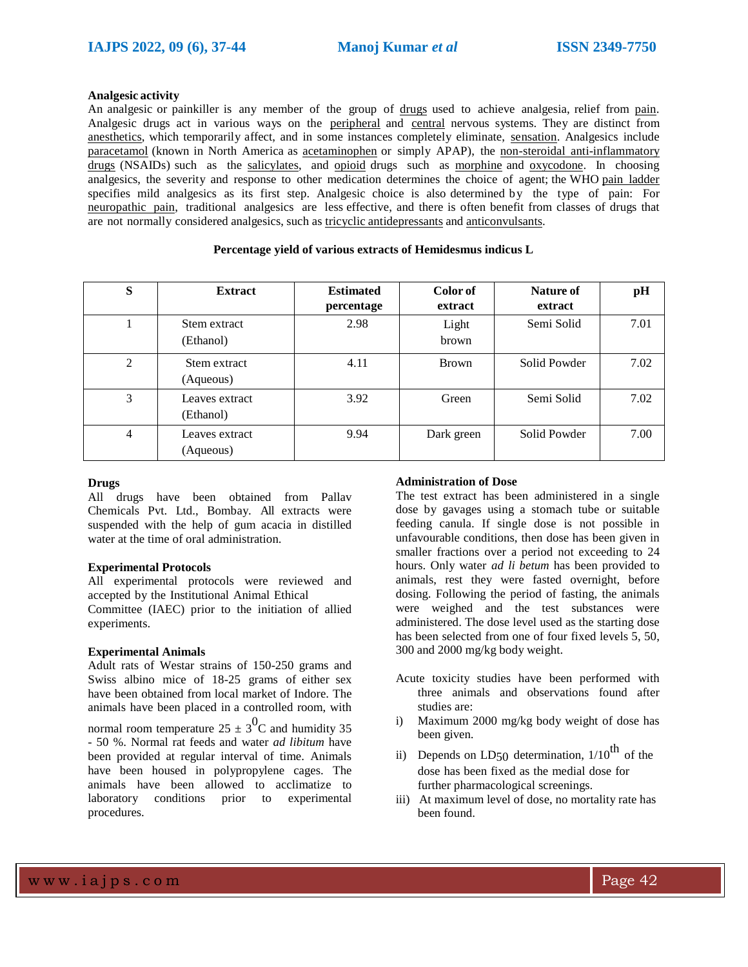#### **Analgesic activity**

An analgesic or painkiller is any member of the group of drugs used to achieve analgesia, relief from pain. Analgesic drugs act in various ways on the peripheral and central nervous systems. They are distinct from anesthetics, which temporarily affect, and in some instances completely eliminate, sensation. Analgesics include paracetamol (known in North America as acetaminophen or simply APAP), the non-steroidal anti-inflammatory drugs (NSAIDs) such as the salicylates, and opioid drugs such as morphine and oxycodone. In choosing analgesics, the severity and response to other medication determines the choice of agent; the WHO pain ladder specifies mild analgesics as its first step. Analgesic choice is also determined by the type of pain: For neuropathic pain, traditional analgesics are less effective, and there is often benefit from classes of drugs that are not normally considered analgesics, such as tricyclic antidepressants and anticonvulsants.

| S              | <b>Extract</b>              | <b>Estimated</b><br>percentage | Color of<br>extract | Nature of<br>extract | pH   |
|----------------|-----------------------------|--------------------------------|---------------------|----------------------|------|
|                | Stem extract<br>(Ethanol)   | 2.98                           | Light<br>brown      | Semi Solid           | 7.01 |
| 2              | Stem extract<br>(Aqueous)   | 4.11                           | Brown               | Solid Powder         | 7.02 |
| 3              | Leaves extract<br>(Ethanol) | 3.92                           | Green               | Semi Solid           | 7.02 |
| $\overline{4}$ | Leaves extract<br>(Aqueous) | 9.94                           | Dark green          | Solid Powder         | 7.00 |

#### **Percentage yield of various extracts of Hemidesmus indicus L**

# **Drugs**

All drugs have been obtained from Pallav Chemicals Pvt. Ltd., Bombay. All extracts were suspended with the help of gum acacia in distilled water at the time of oral administration.

#### **Experimental Protocols**

All experimental protocols were reviewed and accepted by the Institutional Animal Ethical Committee (IAEC) prior to the initiation of allied experiments.

#### **Experimental Animals**

Adult rats of Westar strains of 150-250 grams and Swiss albino mice of 18-25 grams of either sex have been obtained from local market of Indore. The animals have been placed in a controlled room, with

normal room temperature 25  $\pm$  3<sup>0</sup>C and humidity 35 - 50 %. Normal rat feeds and water *ad libitum* have been provided at regular interval of time. Animals have been housed in polypropylene cages. The animals have been allowed to acclimatize to laboratory conditions prior to experimental procedures.

### **Administration of Dose**

The test extract has been administered in a single dose by gavages using a stomach tube or suitable feeding canula. If single dose is not possible in unfavourable conditions, then dose has been given in smaller fractions over a period not exceeding to 24 hours. Only water *ad li betum* has been provided to animals, rest they were fasted overnight, before dosing. Following the period of fasting, the animals were weighed and the test substances were administered. The dose level used as the starting dose has been selected from one of four fixed levels 5, 50, 300 and 2000 mg/kg body weight.

- Acute toxicity studies have been performed with three animals and observations found after studies are:
- i) Maximum 2000 mg/kg body weight of dose has been given.
- ii) Depends on LD50 determination,  $1/10^{th}$  of the dose has been fixed as the medial dose for further pharmacological screenings.
- iii) At maximum level of dose, no mortality rate has been found.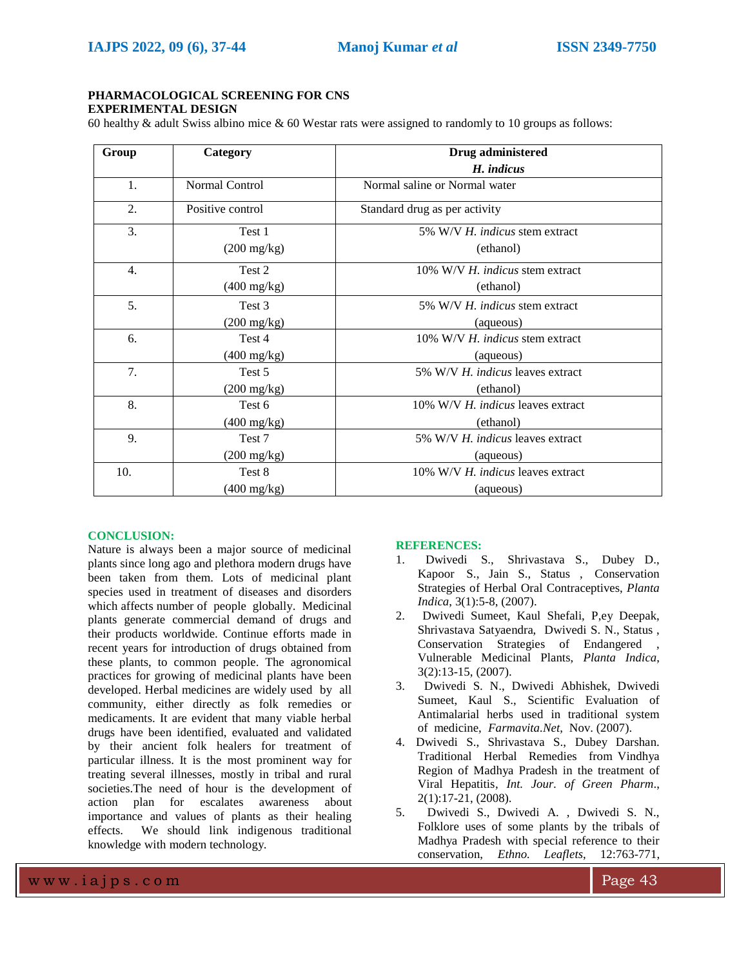# **PHARMACOLOGICAL SCREENING FOR CNS EXPERIMENTAL DESIGN**

60 healthy & adult Swiss albino mice & 60 Westar rats were assigned to randomly to 10 groups as follows:

| Group            | <b>Drug</b> administered<br>Category |                                        |
|------------------|--------------------------------------|----------------------------------------|
|                  |                                      | H. indicus                             |
| 1.               | Normal Control                       | Normal saline or Normal water          |
| 2.               | Positive control                     | Standard drug as per activity          |
| 3.               | Test 1                               | 5% W/V H, indicus stem extract         |
|                  | $(200 \text{ mg/kg})$                | (ethanol)                              |
| $\overline{4}$ . | Test 2                               | 10% W/V H, <i>indicus</i> stem extract |
|                  | $(400 \text{ mg/kg})$                | (ethanol)                              |
| 5.               | Test 3                               | 5% W/V H, indicus stem extract         |
|                  | $(200 \text{ mg/kg})$                | (aqueous)                              |
| 6.               | Test 4                               | 10% W/V H. indicus stem extract        |
|                  | $(400 \text{ mg/kg})$                | (aqueous)                              |
| 7.               | Test 5                               | 5% W/V H. indicus leaves extract       |
|                  | $(200 \text{ mg/kg})$                | (ethanol)                              |
| 8.               | Test 6                               | 10% W/V H. indicus leaves extract      |
|                  | $(400 \text{ mg/kg})$                | (ethanol)                              |
| 9.               | Test 7                               | 5% W/V H. indicus leaves extract       |
|                  | $(200 \text{ mg/kg})$                | (aqueous)                              |
| 10.              | Test 8                               | 10% W/V H. indicus leaves extract      |
|                  | $(400 \text{ mg/kg})$                | (aqueous)                              |

# **CONCLUSION:**

Nature is always been a major source of medicinal plants since long ago and plethora modern drugs have been taken from them. Lots of medicinal plant species used in treatment of diseases and disorders which affects number of people globally. Medicinal plants generate commercial demand of drugs and their products worldwide. Continue efforts made in recent years for introduction of drugs obtained from these plants, to common people. The agronomical practices for growing of medicinal plants have been developed. Herbal medicines are widely used by all community, either directly as folk remedies or medicaments. It are evident that many viable herbal drugs have been identified, evaluated and validated by their ancient folk healers for treatment of particular illness. It is the most prominent way for treating several illnesses, mostly in tribal and rural societies.The need of hour is the development of action plan for escalates awareness about importance and values of plants as their healing effects. We should link indigenous traditional knowledge with modern technology.

# **REFERENCES:**

- 1. Dwivedi S., Shrivastava S., Dubey D., Kapoor S., Jain S., Status , Conservation Strategies of Herbal Oral Contraceptives, *Planta Indica*, 3(1):5-8, (2007).
- 2. Dwivedi Sumeet, Kaul Shefali, P,ey Deepak, Shrivastava Satyaendra, Dwivedi S. N., Status , Conservation Strategies of Endangered Vulnerable Medicinal Plants, *Planta Indica*, 3(2):13-15, (2007).
- 3. Dwivedi S. N., Dwivedi Abhishek, Dwivedi Sumeet, Kaul S., Scientific Evaluation of Antimalarial herbs used in traditional system of medicine, *Farmavita.Net*, Nov. (2007).
- 4. Dwivedi S., Shrivastava S., Dubey Darshan. Traditional Herbal Remedies from Vindhya Region of Madhya Pradesh in the treatment of Viral Hepatitis, *Int. Jour. of Green Pharm*., 2(1):17-21, (2008).
- 5. Dwivedi S., Dwivedi A. , Dwivedi S. N., Folklore uses of some plants by the tribals of Madhya Pradesh with special reference to their conservation, *Ethno. Leaflets*, 12:763-771,